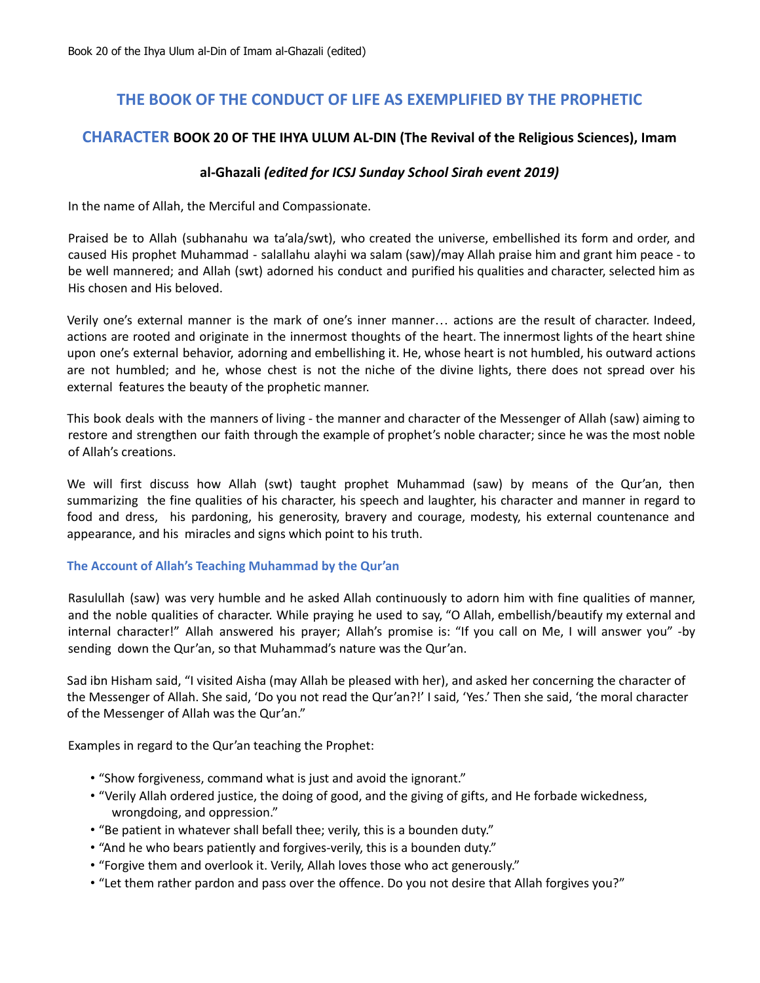# **THE BOOK OF THE CONDUCT OF LIFE AS EXEMPLIFIED BY THE PROPHETIC**

## **CHARACTER BOOK 20 OF THE IHYA ULUM AL-DIN (The Revival of the Religious Sciences), Imam**

## **al-Ghazali** *(edited for ICSJ Sunday School Sirah event 2019)*

In the name of Allah, the Merciful and Compassionate.

Praised be to Allah (subhanahu wa ta'ala/swt), who created the universe, embellished its form and order, and caused His prophet Muhammad - salallahu alayhi wa salam (saw)/may Allah praise him and grant him peace - to be well mannered; and Allah (swt) adorned his conduct and purified his qualities and character, selected him as His chosen and His beloved.

Verily one's external manner is the mark of one's inner manner… actions are the result of character. Indeed, actions are rooted and originate in the innermost thoughts of the heart. The innermost lights of the heart shine upon one's external behavior, adorning and embellishing it. He, whose heart is not humbled, his outward actions are not humbled; and he, whose chest is not the niche of the divine lights, there does not spread over his external features the beauty of the prophetic manner.

This book deals with the manners of living - the manner and character of the Messenger of Allah (saw) aiming to restore and strengthen our faith through the example of prophet's noble character; since he was the most noble of Allah's creations.

We will first discuss how Allah (swt) taught prophet Muhammad (saw) by means of the Qur'an, then summarizing the fine qualities of his character, his speech and laughter, his character and manner in regard to food and dress, his pardoning, his generosity, bravery and courage, modesty, his external countenance and appearance, and his miracles and signs which point to his truth.

#### **The Account of Allah's Teaching Muhammad by the Qur'an**

Rasulullah (saw) was very humble and he asked Allah continuously to adorn him with fine qualities of manner, and the noble qualities of character. While praying he used to say, "O Allah, embellish/beautify my external and internal character!" Allah answered his prayer; Allah's promise is: "If you call on Me, I will answer you" -by sending down the Qur'an, so that Muhammad's nature was the Qur'an.

Sad ibn Hisham said, "I visited Aisha (may Allah be pleased with her), and asked her concerning the character of the Messenger of Allah. She said, 'Do you not read the Qur'an?!' I said, 'Yes.' Then she said, 'the moral character of the Messenger of Allah was the Qur'an."

Examples in regard to the Qur'an teaching the Prophet:

- "Show forgiveness, command what is just and avoid the ignorant."
- "Verily Allah ordered justice, the doing of good, and the giving of gifts, and He forbade wickedness, wrongdoing, and oppression."
- "Be patient in whatever shall befall thee; verily, this is a bounden duty."
- "And he who bears patiently and forgives-verily, this is a bounden duty."
- "Forgive them and overlook it. Verily, Allah loves those who act generously."
- "Let them rather pardon and pass over the offence. Do you not desire that Allah forgives you?"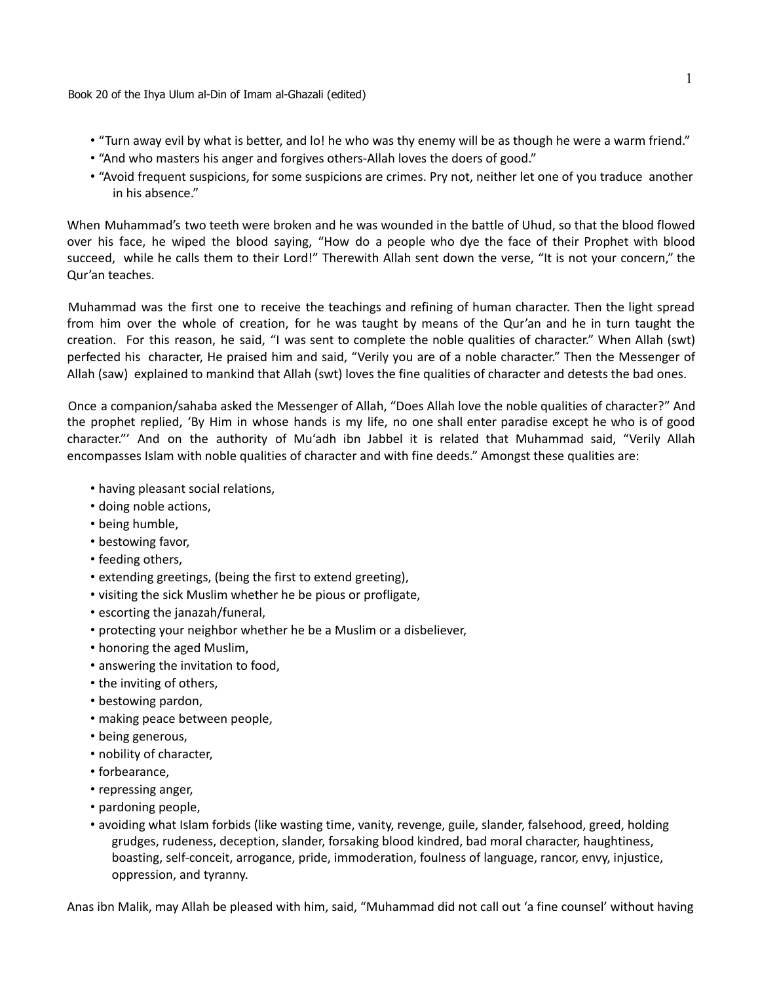Book 20 of the Ihya Ulum al-Din of Imam al-Ghazali (edited)

- "Turn away evil by what is better, and lo! he who was thy enemy will be as though he were a warm friend."
- "And who masters his anger and forgives others-Allah loves the doers of good."
- "Avoid frequent suspicions, for some suspicions are crimes. Pry not, neither let one of you traduce another in his absence."

When Muhammad's two teeth were broken and he was wounded in the battle of Uhud, so that the blood flowed over his face, he wiped the blood saying, "How do a people who dye the face of their Prophet with blood succeed, while he calls them to their Lord!" Therewith Allah sent down the verse, "It is not your concern," the Qur'an teaches.

Muhammad was the first one to receive the teachings and refining of human character. Then the light spread from him over the whole of creation, for he was taught by means of the Qur'an and he in turn taught the creation. For this reason, he said, "I was sent to complete the noble qualities of character." When Allah (swt) perfected his character, He praised him and said, "Verily you are of a noble character." Then the Messenger of Allah (saw) explained to mankind that Allah (swt) loves the fine qualities of character and detests the bad ones.

Once a companion/sahaba asked the Messenger of Allah, "Does Allah love the noble qualities of character?" And the prophet replied, 'By Him in whose hands is my life, no one shall enter paradise except he who is of good character."' And on the authority of Mu'adh ibn Jabbel it is related that Muhammad said, "Verily Allah encompasses Islam with noble qualities of character and with fine deeds." Amongst these qualities are:

- having pleasant social relations,
- doing noble actions,
- being humble,
- bestowing favor,
- feeding others,
- extending greetings, (being the first to extend greeting),
- visiting the sick Muslim whether he be pious or profligate,
- escorting the janazah/funeral,
- protecting your neighbor whether he be a Muslim or a disbeliever,
- honoring the aged Muslim,
- answering the invitation to food,
- the inviting of others,
- bestowing pardon,
- making peace between people,
- being generous,
- nobility of character,
- forbearance,
- repressing anger,
- pardoning people,
- avoiding what Islam forbids (like wasting time, vanity, revenge, guile, slander, falsehood, greed, holding grudges, rudeness, deception, slander, forsaking blood kindred, bad moral character, haughtiness, boasting, self-conceit, arrogance, pride, immoderation, foulness of language, rancor, envy, injustice, oppression, and tyranny.

Anas ibn Malik, may Allah be pleased with him, said, "Muhammad did not call out 'a fine counsel' without having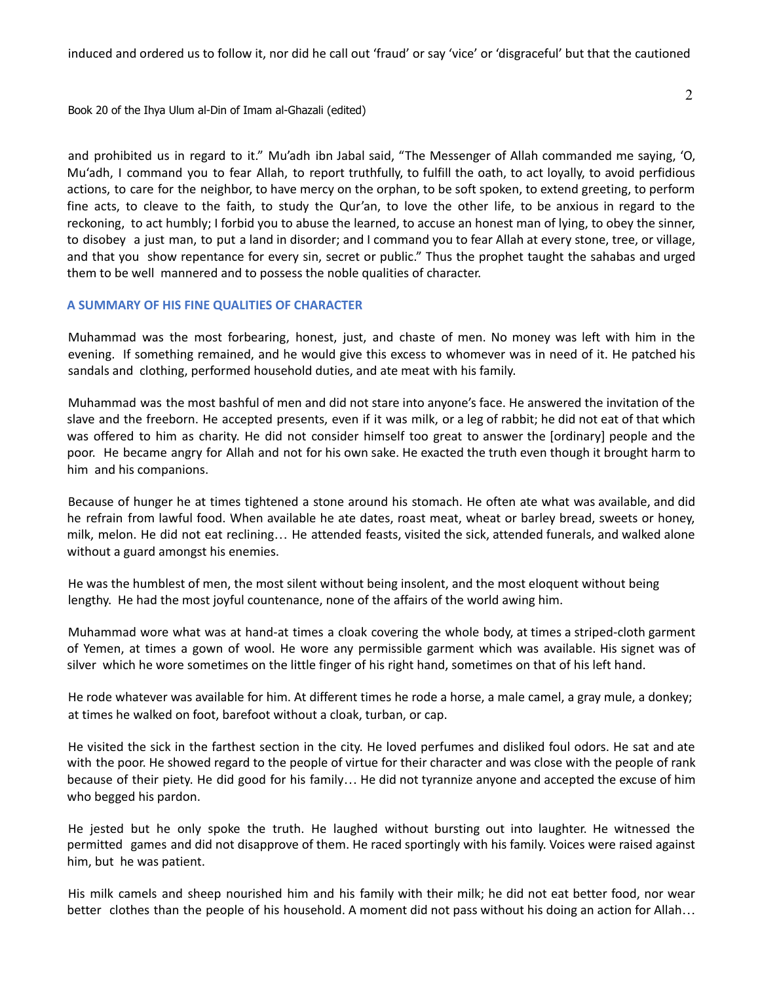induced and ordered us to follow it, nor did he call out 'fraud' or say 'vice' or 'disgraceful' but that the cautioned

Book 20 of the Ihya Ulum al-Din of Imam al-Ghazali (edited)

and prohibited us in regard to it." Mu'adh ibn Jabal said, "The Messenger of Allah commanded me saying, 'O, Mu'adh, I command you to fear Allah, to report truthfully, to fulfill the oath, to act loyally, to avoid perfidious actions, to care for the neighbor, to have mercy on the orphan, to be soft spoken, to extend greeting, to perform fine acts, to cleave to the faith, to study the Qur'an, to love the other life, to be anxious in regard to the reckoning, to act humbly; I forbid you to abuse the learned, to accuse an honest man of lying, to obey the sinner, to disobey a just man, to put a land in disorder; and I command you to fear Allah at every stone, tree, or village, and that you show repentance for every sin, secret or public." Thus the prophet taught the sahabas and urged them to be well mannered and to possess the noble qualities of character.

#### **A SUMMARY OF HIS FINE QUALITIES OF CHARACTER**

Muhammad was the most forbearing, honest, just, and chaste of men. No money was left with him in the evening. If something remained, and he would give this excess to whomever was in need of it. He patched his sandals and clothing, performed household duties, and ate meat with his family.

Muhammad was the most bashful of men and did not stare into anyone's face. He answered the invitation of the slave and the freeborn. He accepted presents, even if it was milk, or a leg of rabbit; he did not eat of that which was offered to him as charity. He did not consider himself too great to answer the [ordinary] people and the poor. He became angry for Allah and not for his own sake. He exacted the truth even though it brought harm to him and his companions.

Because of hunger he at times tightened a stone around his stomach. He often ate what was available, and did he refrain from lawful food. When available he ate dates, roast meat, wheat or barley bread, sweets or honey, milk, melon. He did not eat reclining… He attended feasts, visited the sick, attended funerals, and walked alone without a guard amongst his enemies.

He was the humblest of men, the most silent without being insolent, and the most eloquent without being lengthy. He had the most joyful countenance, none of the affairs of the world awing him.

Muhammad wore what was at hand-at times a cloak covering the whole body, at times a striped-cloth garment of Yemen, at times a gown of wool. He wore any permissible garment which was available. His signet was of silver which he wore sometimes on the little finger of his right hand, sometimes on that of his left hand.

He rode whatever was available for him. At different times he rode a horse, a male camel, a gray mule, a donkey; at times he walked on foot, barefoot without a cloak, turban, or cap.

He visited the sick in the farthest section in the city. He loved perfumes and disliked foul odors. He sat and ate with the poor. He showed regard to the people of virtue for their character and was close with the people of rank because of their piety. He did good for his family… He did not tyrannize anyone and accepted the excuse of him who begged his pardon.

He jested but he only spoke the truth. He laughed without bursting out into laughter. He witnessed the permitted games and did not disapprove of them. He raced sportingly with his family. Voices were raised against him, but he was patient.

His milk camels and sheep nourished him and his family with their milk; he did not eat better food, nor wear better clothes than the people of his household. A moment did not pass without his doing an action for Allah…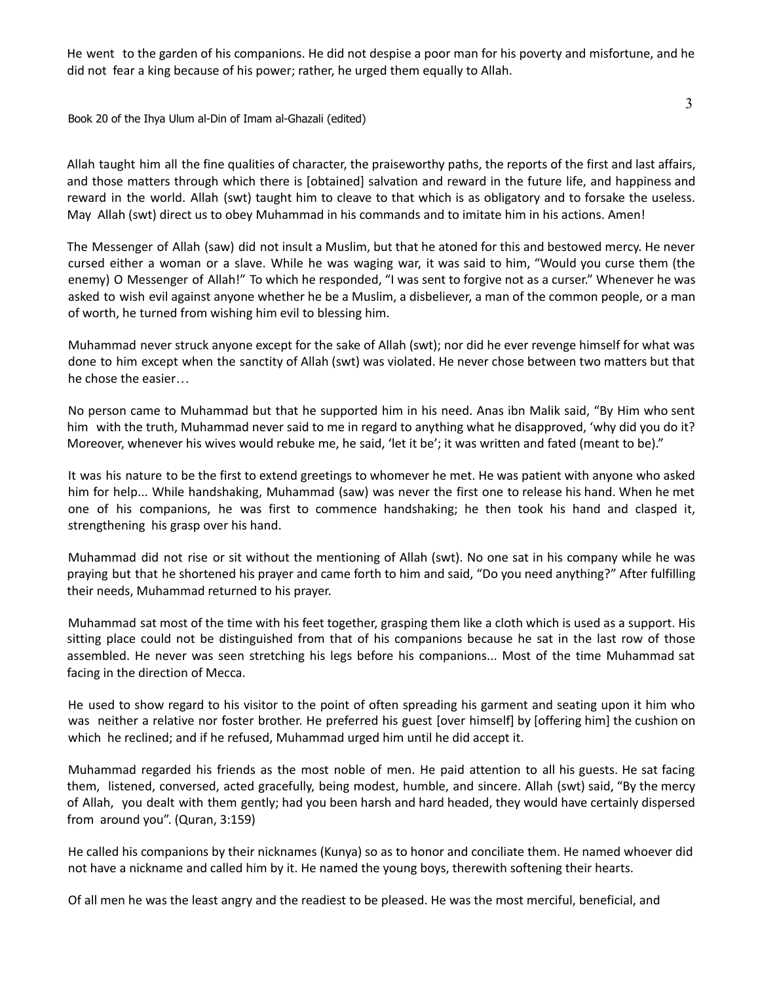He went to the garden of his companions. He did not despise a poor man for his poverty and misfortune, and he did not fear a king because of his power; rather, he urged them equally to Allah.

Book 20 of the Ihya Ulum al-Din of Imam al-Ghazali (edited)

Allah taught him all the fine qualities of character, the praiseworthy paths, the reports of the first and last affairs, and those matters through which there is [obtained] salvation and reward in the future life, and happiness and reward in the world. Allah (swt) taught him to cleave to that which is as obligatory and to forsake the useless. May Allah (swt) direct us to obey Muhammad in his commands and to imitate him in his actions. Amen!

The Messenger of Allah (saw) did not insult a Muslim, but that he atoned for this and bestowed mercy. He never cursed either a woman or a slave. While he was waging war, it was said to him, "Would you curse them (the enemy) O Messenger of Allah!" To which he responded, "I was sent to forgive not as a curser." Whenever he was asked to wish evil against anyone whether he be a Muslim, a disbeliever, a man of the common people, or a man of worth, he turned from wishing him evil to blessing him.

Muhammad never struck anyone except for the sake of Allah (swt); nor did he ever revenge himself for what was done to him except when the sanctity of Allah (swt) was violated. He never chose between two matters but that he chose the easier…

No person came to Muhammad but that he supported him in his need. Anas ibn Malik said, "By Him who sent him with the truth, Muhammad never said to me in regard to anything what he disapproved, 'why did you do it? Moreover, whenever his wives would rebuke me, he said, 'let it be'; it was written and fated (meant to be)."

It was his nature to be the first to extend greetings to whomever he met. He was patient with anyone who asked him for help... While handshaking, Muhammad (saw) was never the first one to release his hand. When he met one of his companions, he was first to commence handshaking; he then took his hand and clasped it, strengthening his grasp over his hand.

Muhammad did not rise or sit without the mentioning of Allah (swt). No one sat in his company while he was praying but that he shortened his prayer and came forth to him and said, "Do you need anything?" After fulfilling their needs, Muhammad returned to his prayer.

Muhammad sat most of the time with his feet together, grasping them like a cloth which is used as a support. His sitting place could not be distinguished from that of his companions because he sat in the last row of those assembled. He never was seen stretching his legs before his companions... Most of the time Muhammad sat facing in the direction of Mecca.

He used to show regard to his visitor to the point of often spreading his garment and seating upon it him who was neither a relative nor foster brother. He preferred his guest [over himself] by [offering him] the cushion on which he reclined; and if he refused, Muhammad urged him until he did accept it.

Muhammad regarded his friends as the most noble of men. He paid attention to all his guests. He sat facing them, listened, conversed, acted gracefully, being modest, humble, and sincere. Allah (swt) said, "By the mercy of Allah, you dealt with them gently; had you been harsh and hard headed, they would have certainly dispersed from around you". (Quran, 3:159)

He called his companions by their nicknames (Kunya) so as to honor and conciliate them. He named whoever did not have a nickname and called him by it. He named the young boys, therewith softening their hearts.

Of all men he was the least angry and the readiest to be pleased. He was the most merciful, beneficial, and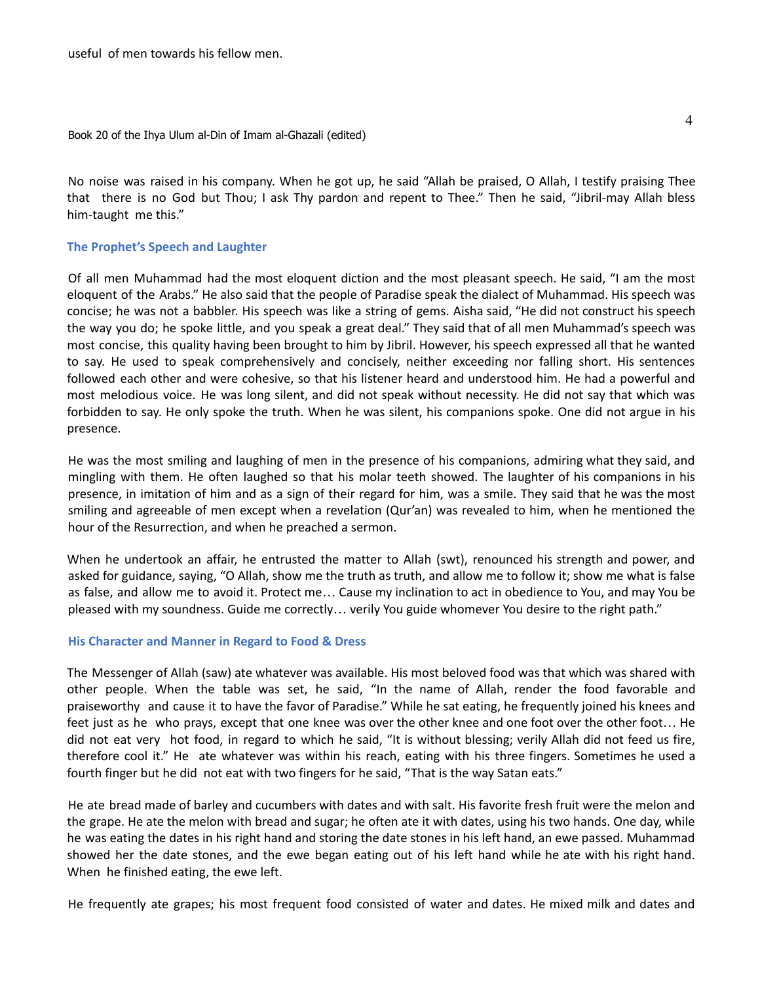Book 20 of the Ihya Ulum al-Din of Imam al-Ghazali (edited)

No noise was raised in his company. When he got up, he said "Allah be praised, O Allah, I testify praising Thee that there is no God but Thou; I ask Thy pardon and repent to Thee." Then he said, "Jibril-may Allah bless him-taught me this."

#### **The Prophet's Speech and Laughter**

Of all men Muhammad had the most eloquent diction and the most pleasant speech. He said, "I am the most eloquent of the Arabs." He also said that the people of Paradise speak the dialect of Muhammad. His speech was concise; he was not a babbler. His speech was like a string of gems. Aisha said, "He did not construct his speech the way you do; he spoke little, and you speak a great deal." They said that of all men Muhammad's speech was most concise, this quality having been brought to him by Jibril. However, his speech expressed all that he wanted to say. He used to speak comprehensively and concisely, neither exceeding nor falling short. His sentences followed each other and were cohesive, so that his listener heard and understood him. He had a powerful and most melodious voice. He was long silent, and did not speak without necessity. He did not say that which was forbidden to say. He only spoke the truth. When he was silent, his companions spoke. One did not argue in his presence.

He was the most smiling and laughing of men in the presence of his companions, admiring what they said, and mingling with them. He often laughed so that his molar teeth showed. The laughter of his companions in his presence, in imitation of him and as a sign of their regard for him, was a smile. They said that he was the most smiling and agreeable of men except when a revelation (Qur'an) was revealed to him, when he mentioned the hour of the Resurrection, and when he preached a sermon.

When he undertook an affair, he entrusted the matter to Allah (swt), renounced his strength and power, and asked for guidance, saying, "O Allah, show me the truth as truth, and allow me to follow it; show me what is false as false, and allow me to avoid it. Protect me… Cause my inclination to act in obedience to You, and may You be pleased with my soundness. Guide me correctly… verily You guide whomever You desire to the right path."

#### **His Character and Manner in Regard to Food & Dress**

The Messenger of Allah (saw) ate whatever was available. His most beloved food was that which was shared with other people. When the table was set, he said, "In the name of Allah, render the food favorable and praiseworthy and cause it to have the favor of Paradise." While he sat eating, he frequently joined his knees and feet just as he who prays, except that one knee was over the other knee and one foot over the other foot… He did not eat very hot food, in regard to which he said, "It is without blessing; verily Allah did not feed us fire, therefore cool it." He ate whatever was within his reach, eating with his three fingers. Sometimes he used a fourth finger but he did not eat with two fingers for he said, "That is the way Satan eats."

He ate bread made of barley and cucumbers with dates and with salt. His favorite fresh fruit were the melon and the grape. He ate the melon with bread and sugar; he often ate it with dates, using his two hands. One day, while he was eating the dates in his right hand and storing the date stones in his left hand, an ewe passed. Muhammad showed her the date stones, and the ewe began eating out of his left hand while he ate with his right hand. When he finished eating, the ewe left.

He frequently ate grapes; his most frequent food consisted of water and dates. He mixed milk and dates and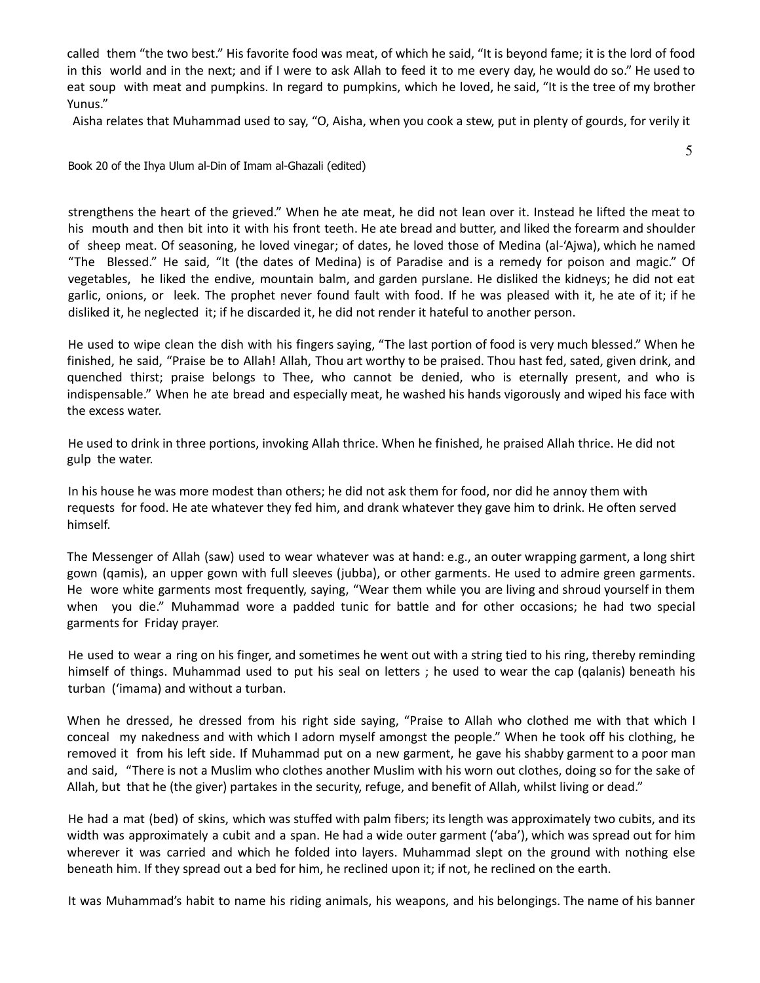called them "the two best." His favorite food was meat, of which he said, "It is beyond fame; it is the lord of food in this world and in the next; and if I were to ask Allah to feed it to me every day, he would do so." He used to eat soup with meat and pumpkins. In regard to pumpkins, which he loved, he said, "It is the tree of my brother Yunus."

Aisha relates that Muhammad used to say, "O, Aisha, when you cook a stew, put in plenty of gourds, for verily it

5

Book 20 of the Ihya Ulum al-Din of Imam al-Ghazali (edited)

strengthens the heart of the grieved." When he ate meat, he did not lean over it. Instead he lifted the meat to his mouth and then bit into it with his front teeth. He ate bread and butter, and liked the forearm and shoulder of sheep meat. Of seasoning, he loved vinegar; of dates, he loved those of Medina (al-'Ajwa), which he named "The Blessed." He said, "It (the dates of Medina) is of Paradise and is a remedy for poison and magic." Of vegetables, he liked the endive, mountain balm, and garden purslane. He disliked the kidneys; he did not eat garlic, onions, or leek. The prophet never found fault with food. If he was pleased with it, he ate of it; if he disliked it, he neglected it; if he discarded it, he did not render it hateful to another person.

He used to wipe clean the dish with his fingers saying, "The last portion of food is very much blessed." When he finished, he said, "Praise be to Allah! Allah, Thou art worthy to be praised. Thou hast fed, sated, given drink, and quenched thirst; praise belongs to Thee, who cannot be denied, who is eternally present, and who is indispensable." When he ate bread and especially meat, he washed his hands vigorously and wiped his face with the excess water.

He used to drink in three portions, invoking Allah thrice. When he finished, he praised Allah thrice. He did not gulp the water.

In his house he was more modest than others; he did not ask them for food, nor did he annoy them with requests for food. He ate whatever they fed him, and drank whatever they gave him to drink. He often served himself.

The Messenger of Allah (saw) used to wear whatever was at hand: e.g., an outer wrapping garment, a long shirt gown (qamis), an upper gown with full sleeves (jubba), or other garments. He used to admire green garments. He wore white garments most frequently, saying, "Wear them while you are living and shroud yourself in them when you die." Muhammad wore a padded tunic for battle and for other occasions; he had two special garments for Friday prayer.

He used to wear a ring on his finger, and sometimes he went out with a string tied to his ring, thereby reminding himself of things. Muhammad used to put his seal on letters ; he used to wear the cap (qalanis) beneath his turban ('imama) and without a turban.

When he dressed, he dressed from his right side saying, "Praise to Allah who clothed me with that which I conceal my nakedness and with which I adorn myself amongst the people." When he took off his clothing, he removed it from his left side. If Muhammad put on a new garment, he gave his shabby garment to a poor man and said, "There is not a Muslim who clothes another Muslim with his worn out clothes, doing so for the sake of Allah, but that he (the giver) partakes in the security, refuge, and benefit of Allah, whilst living or dead."

He had a mat (bed) of skins, which was stuffed with palm fibers; its length was approximately two cubits, and its width was approximately a cubit and a span. He had a wide outer garment ('aba'), which was spread out for him wherever it was carried and which he folded into layers. Muhammad slept on the ground with nothing else beneath him. If they spread out a bed for him, he reclined upon it; if not, he reclined on the earth.

It was Muhammad's habit to name his riding animals, his weapons, and his belongings. The name of his banner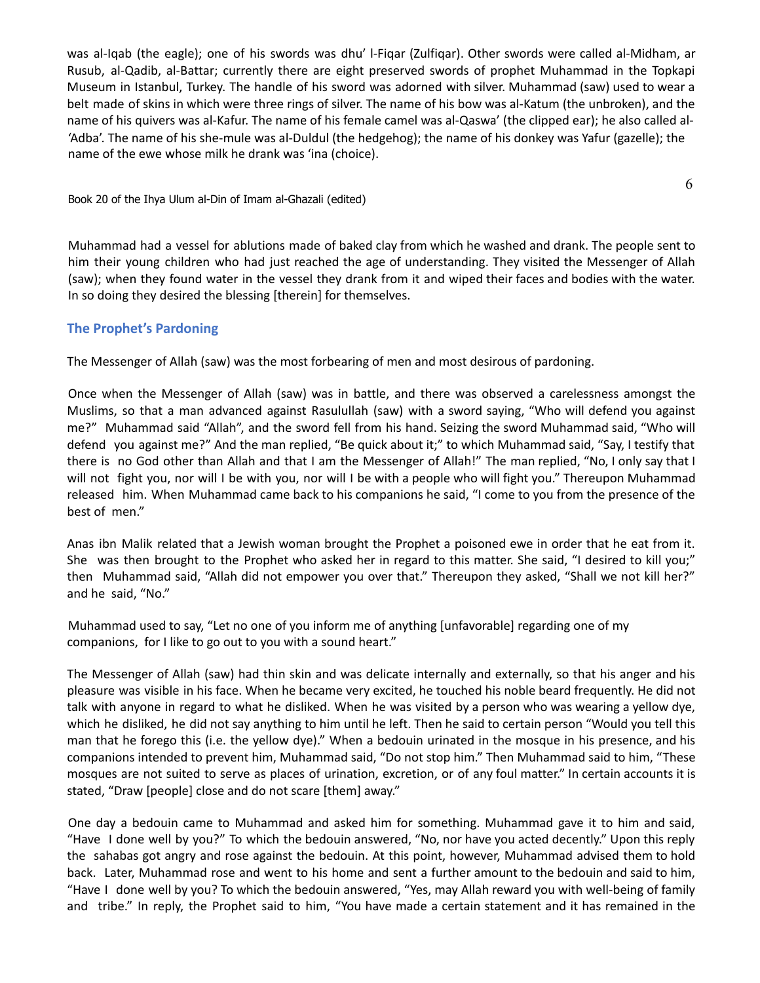was al-Iqab (the eagle); one of his swords was dhu' l-Fiqar (Zulfiqar). Other swords were called al-Midham, ar Rusub, al-Qadib, al-Battar; currently there are eight preserved swords of prophet Muhammad in the Topkapi Museum in Istanbul, Turkey. The handle of his sword was adorned with silver. Muhammad (saw) used to wear a belt made of skins in which were three rings of silver. The name of his bow was al-Katum (the unbroken), and the name of his quivers was al-Kafur. The name of his female camel was al-Qaswa' (the clipped ear); he also called al- 'Adba'. The name of his she-mule was al-Duldul (the hedgehog); the name of his donkey was Yafur (gazelle); the name of the ewe whose milk he drank was 'ina (choice).

Book 20 of the Ihya Ulum al-Din of Imam al-Ghazali (edited)

Muhammad had a vessel for ablutions made of baked clay from which he washed and drank. The people sent to him their young children who had just reached the age of understanding. They visited the Messenger of Allah (saw); when they found water in the vessel they drank from it and wiped their faces and bodies with the water. In so doing they desired the blessing [therein] for themselves.

### **The Prophet's Pardoning**

The Messenger of Allah (saw) was the most forbearing of men and most desirous of pardoning.

Once when the Messenger of Allah (saw) was in battle, and there was observed a carelessness amongst the Muslims, so that a man advanced against Rasulullah (saw) with a sword saying, "Who will defend you against me?" Muhammad said "Allah", and the sword fell from his hand. Seizing the sword Muhammad said, "Who will defend you against me?" And the man replied, "Be quick about it;" to which Muhammad said, "Say, I testify that there is no God other than Allah and that I am the Messenger of Allah!" The man replied, "No, I only say that I will not fight you, nor will I be with you, nor will I be with a people who will fight you." Thereupon Muhammad released him. When Muhammad came back to his companions he said, "I come to you from the presence of the best of men."

Anas ibn Malik related that a Jewish woman brought the Prophet a poisoned ewe in order that he eat from it. She was then brought to the Prophet who asked her in regard to this matter. She said, "I desired to kill you;" then Muhammad said, "Allah did not empower you over that." Thereupon they asked, "Shall we not kill her?" and he said, "No."

Muhammad used to say, "Let no one of you inform me of anything [unfavorable] regarding one of my companions, for I like to go out to you with a sound heart."

The Messenger of Allah (saw) had thin skin and was delicate internally and externally, so that his anger and his pleasure was visible in his face. When he became very excited, he touched his noble beard frequently. He did not talk with anyone in regard to what he disliked. When he was visited by a person who was wearing a yellow dye, which he disliked, he did not say anything to him until he left. Then he said to certain person "Would you tell this man that he forego this (i.e. the yellow dye)." When a bedouin urinated in the mosque in his presence, and his companions intended to prevent him, Muhammad said, "Do not stop him." Then Muhammad said to him, "These mosques are not suited to serve as places of urination, excretion, or of any foul matter." In certain accounts it is stated, "Draw [people] close and do not scare [them] away."

One day a bedouin came to Muhammad and asked him for something. Muhammad gave it to him and said, "Have I done well by you?" To which the bedouin answered, "No, nor have you acted decently." Upon this reply the sahabas got angry and rose against the bedouin. At this point, however, Muhammad advised them to hold back. Later, Muhammad rose and went to his home and sent a further amount to the bedouin and said to him, "Have I done well by you? To which the bedouin answered, "Yes, may Allah reward you with well-being of family and tribe." In reply, the Prophet said to him, "You have made a certain statement and it has remained in the

6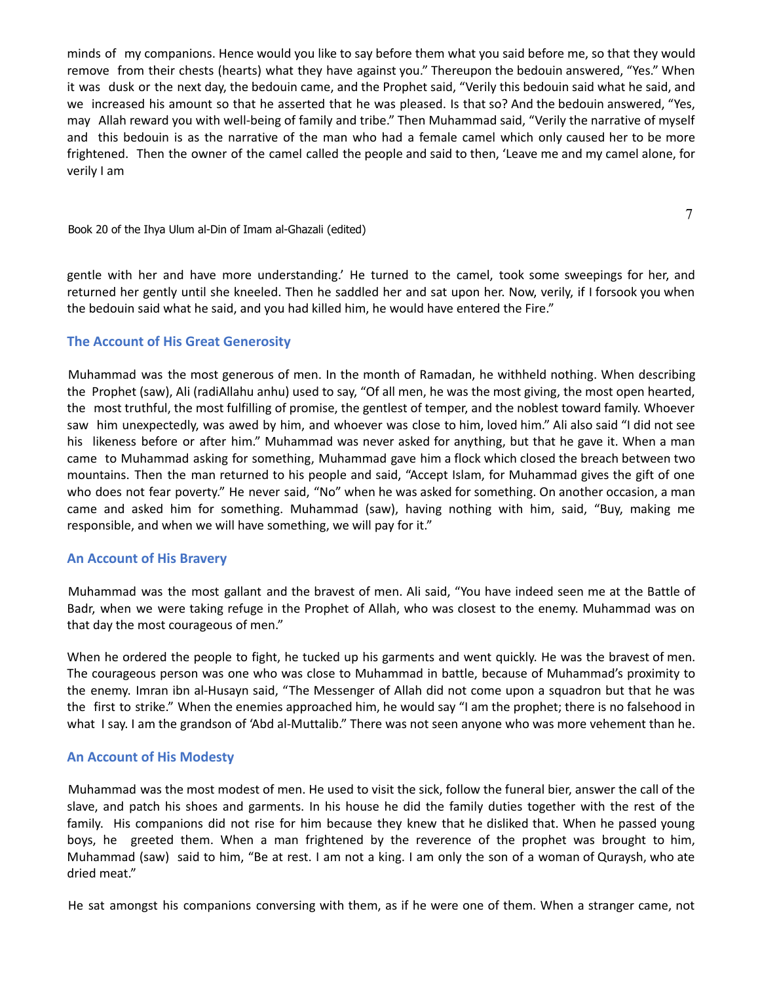minds of my companions. Hence would you like to say before them what you said before me, so that they would remove from their chests (hearts) what they have against you." Thereupon the bedouin answered, "Yes." When it was dusk or the next day, the bedouin came, and the Prophet said, "Verily this bedouin said what he said, and we increased his amount so that he asserted that he was pleased. Is that so? And the bedouin answered, "Yes, may Allah reward you with well-being of family and tribe." Then Muhammad said, "Verily the narrative of myself and this bedouin is as the narrative of the man who had a female camel which only caused her to be more frightened. Then the owner of the camel called the people and said to then, 'Leave me and my camel alone, for verily I am

Book 20 of the Ihya Ulum al-Din of Imam al-Ghazali (edited)

gentle with her and have more understanding.' He turned to the camel, took some sweepings for her, and returned her gently until she kneeled. Then he saddled her and sat upon her. Now, verily, if I forsook you when the bedouin said what he said, and you had killed him, he would have entered the Fire."

7

### **The Account of His Great Generosity**

Muhammad was the most generous of men. In the month of Ramadan, he withheld nothing. When describing the Prophet (saw), Ali (radiAllahu anhu) used to say, "Of all men, he was the most giving, the most open hearted, the most truthful, the most fulfilling of promise, the gentlest of temper, and the noblest toward family. Whoever saw him unexpectedly, was awed by him, and whoever was close to him, loved him." Ali also said "I did not see his likeness before or after him." Muhammad was never asked for anything, but that he gave it. When a man came to Muhammad asking for something, Muhammad gave him a flock which closed the breach between two mountains. Then the man returned to his people and said, "Accept Islam, for Muhammad gives the gift of one who does not fear poverty." He never said, "No" when he was asked for something. On another occasion, a man came and asked him for something. Muhammad (saw), having nothing with him, said, "Buy, making me responsible, and when we will have something, we will pay for it."

#### **An Account of His Bravery**

Muhammad was the most gallant and the bravest of men. Ali said, "You have indeed seen me at the Battle of Badr, when we were taking refuge in the Prophet of Allah, who was closest to the enemy. Muhammad was on that day the most courageous of men."

When he ordered the people to fight, he tucked up his garments and went quickly. He was the bravest of men. The courageous person was one who was close to Muhammad in battle, because of Muhammad's proximity to the enemy. Imran ibn al-Husayn said, "The Messenger of Allah did not come upon a squadron but that he was the first to strike." When the enemies approached him, he would say "I am the prophet; there is no falsehood in what I say. I am the grandson of 'Abd al-Muttalib." There was not seen anyone who was more vehement than he.

#### **An Account of His Modesty**

Muhammad was the most modest of men. He used to visit the sick, follow the funeral bier, answer the call of the slave, and patch his shoes and garments. In his house he did the family duties together with the rest of the family. His companions did not rise for him because they knew that he disliked that. When he passed young boys, he greeted them. When a man frightened by the reverence of the prophet was brought to him, Muhammad (saw) said to him, "Be at rest. I am not a king. I am only the son of a woman of Quraysh, who ate dried meat."

He sat amongst his companions conversing with them, as if he were one of them. When a stranger came, not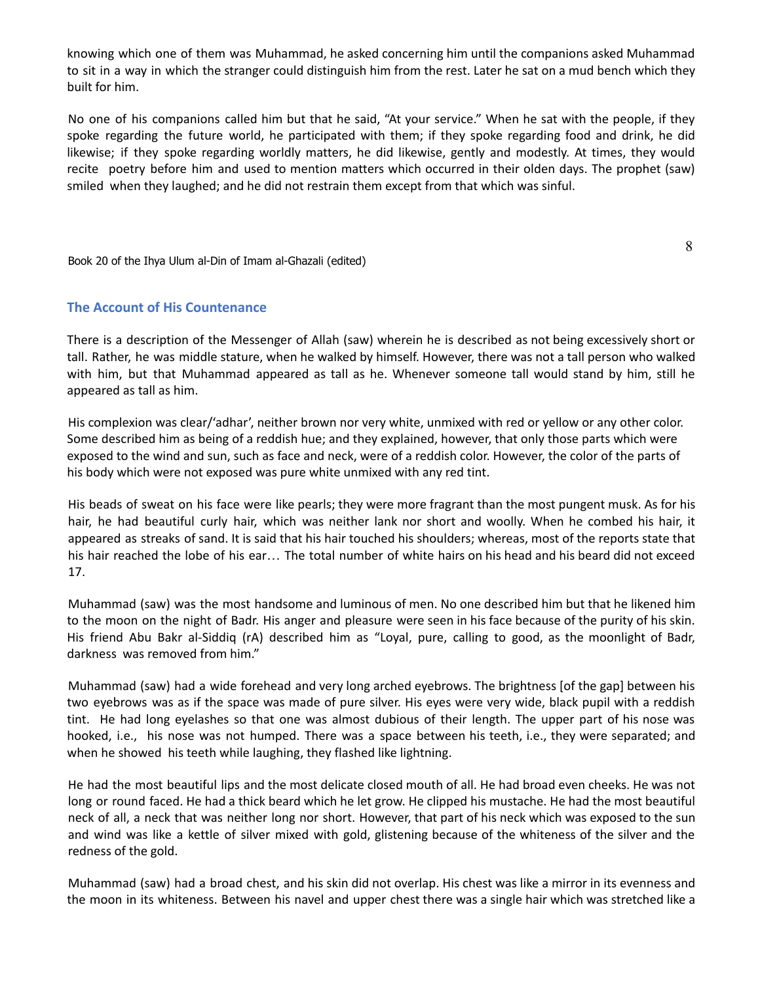knowing which one of them was Muhammad, he asked concerning him until the companions asked Muhammad to sit in a way in which the stranger could distinguish him from the rest. Later he sat on a mud bench which they built for him.

No one of his companions called him but that he said, "At your service." When he sat with the people, if they spoke regarding the future world, he participated with them; if they spoke regarding food and drink, he did likewise; if they spoke regarding worldly matters, he did likewise, gently and modestly. At times, they would recite poetry before him and used to mention matters which occurred in their olden days. The prophet (saw) smiled when they laughed; and he did not restrain them except from that which was sinful.

Book 20 of the Ihya Ulum al-Din of Imam al-Ghazali (edited)

8

### **The Account of His Countenance**

There is a description of the Messenger of Allah (saw) wherein he is described as not being excessively short or tall. Rather, he was middle stature, when he walked by himself. However, there was not a tall person who walked with him, but that Muhammad appeared as tall as he. Whenever someone tall would stand by him, still he appeared as tall as him.

His complexion was clear/'adhar', neither brown nor very white, unmixed with red or yellow or any other color. Some described him as being of a reddish hue; and they explained, however, that only those parts which were exposed to the wind and sun, such as face and neck, were of a reddish color. However, the color of the parts of his body which were not exposed was pure white unmixed with any red tint.

His beads of sweat on his face were like pearls; they were more fragrant than the most pungent musk. As for his hair, he had beautiful curly hair, which was neither lank nor short and woolly. When he combed his hair, it appeared as streaks of sand. It is said that his hair touched his shoulders; whereas, most of the reports state that his hair reached the lobe of his ear… The total number of white hairs on his head and his beard did not exceed 17.

Muhammad (saw) was the most handsome and luminous of men. No one described him but that he likened him to the moon on the night of Badr. His anger and pleasure were seen in his face because of the purity of his skin. His friend Abu Bakr al-Siddiq (rA) described him as "Loyal, pure, calling to good, as the moonlight of Badr, darkness was removed from him."

Muhammad (saw) had a wide forehead and very long arched eyebrows. The brightness [of the gap] between his two eyebrows was as if the space was made of pure silver. His eyes were very wide, black pupil with a reddish tint. He had long eyelashes so that one was almost dubious of their length. The upper part of his nose was hooked, i.e., his nose was not humped. There was a space between his teeth, i.e., they were separated; and when he showed his teeth while laughing, they flashed like lightning.

He had the most beautiful lips and the most delicate closed mouth of all. He had broad even cheeks. He was not long or round faced. He had a thick beard which he let grow. He clipped his mustache. He had the most beautiful neck of all, a neck that was neither long nor short. However, that part of his neck which was exposed to the sun and wind was like a kettle of silver mixed with gold, glistening because of the whiteness of the silver and the redness of the gold.

Muhammad (saw) had a broad chest, and his skin did not overlap. His chest was like a mirror in its evenness and the moon in its whiteness. Between his navel and upper chest there was a single hair which was stretched like a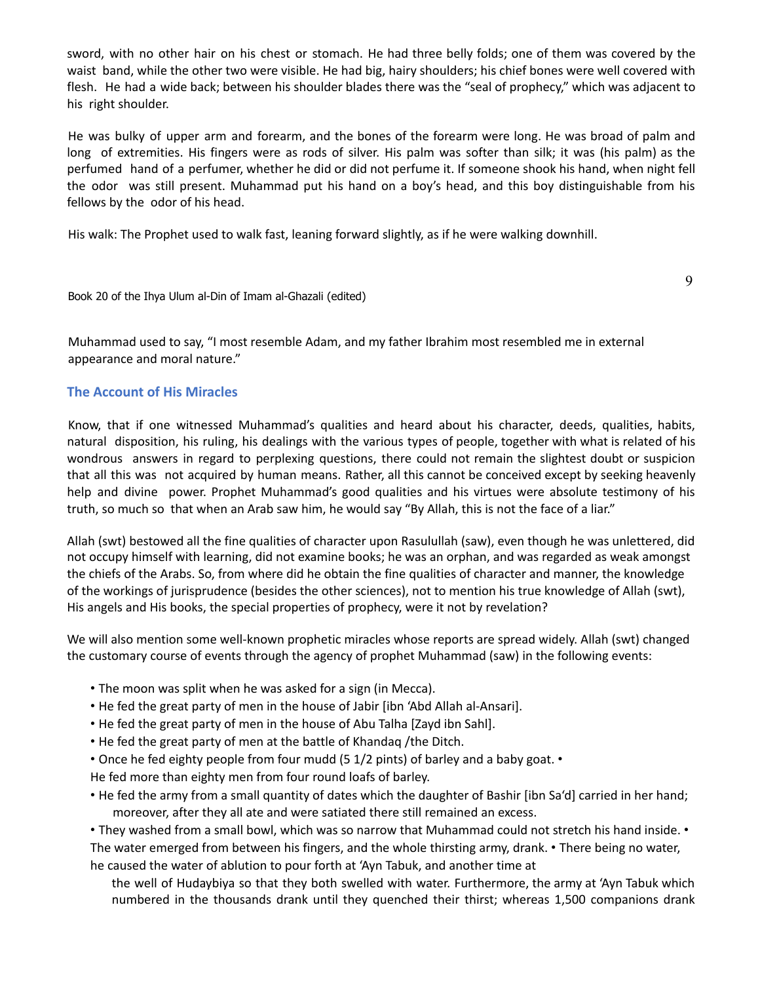sword, with no other hair on his chest or stomach. He had three belly folds; one of them was covered by the waist band, while the other two were visible. He had big, hairy shoulders; his chief bones were well covered with flesh. He had a wide back; between his shoulder blades there was the "seal of prophecy," which was adjacent to his right shoulder.

He was bulky of upper arm and forearm, and the bones of the forearm were long. He was broad of palm and long of extremities. His fingers were as rods of silver. His palm was softer than silk; it was (his palm) as the perfumed hand of a perfumer, whether he did or did not perfume it. If someone shook his hand, when night fell the odor was still present. Muhammad put his hand on a boy's head, and this boy distinguishable from his fellows by the odor of his head.

His walk: The Prophet used to walk fast, leaning forward slightly, as if he were walking downhill.

Book 20 of the Ihya Ulum al-Din of Imam al-Ghazali (edited)

Muhammad used to say, "I most resemble Adam, and my father Ibrahim most resembled me in external appearance and moral nature."

### **The Account of His Miracles**

Know, that if one witnessed Muhammad's qualities and heard about his character, deeds, qualities, habits, natural disposition, his ruling, his dealings with the various types of people, together with what is related of his wondrous answers in regard to perplexing questions, there could not remain the slightest doubt or suspicion that all this was not acquired by human means. Rather, all this cannot be conceived except by seeking heavenly help and divine power. Prophet Muhammad's good qualities and his virtues were absolute testimony of his truth, so much so that when an Arab saw him, he would say "By Allah, this is not the face of a liar."

Allah (swt) bestowed all the fine qualities of character upon Rasulullah (saw), even though he was unlettered, did not occupy himself with learning, did not examine books; he was an orphan, and was regarded as weak amongst the chiefs of the Arabs. So, from where did he obtain the fine qualities of character and manner, the knowledge of the workings of jurisprudence (besides the other sciences), not to mention his true knowledge of Allah (swt), His angels and His books, the special properties of prophecy, were it not by revelation?

We will also mention some well-known prophetic miracles whose reports are spread widely. Allah (swt) changed the customary course of events through the agency of prophet Muhammad (saw) in the following events:

- The moon was split when he was asked for a sign (in Mecca).
- He fed the great party of men in the house of Jabir [ibn 'Abd Allah al-Ansari].
- He fed the great party of men in the house of Abu Talha [Zayd ibn Sahl].
- He fed the great party of men at the battle of Khandaq /the Ditch.
- Once he fed eighty people from four mudd (5 1/2 pints) of barley and a baby goat. •

He fed more than eighty men from four round loafs of barley.

• He fed the army from a small quantity of dates which the daughter of Bashir [ibn Sa'd] carried in her hand; moreover, after they all ate and were satiated there still remained an excess.

• They washed from a small bowl, which was so narrow that Muhammad could not stretch his hand inside. • The water emerged from between his fingers, and the whole thirsting army, drank. • There being no water, he caused the water of ablution to pour forth at 'Ayn Tabuk, and another time at

the well of Hudaybiya so that they both swelled with water. Furthermore, the army at 'Ayn Tabuk which numbered in the thousands drank until they quenched their thirst; whereas 1,500 companions drank

9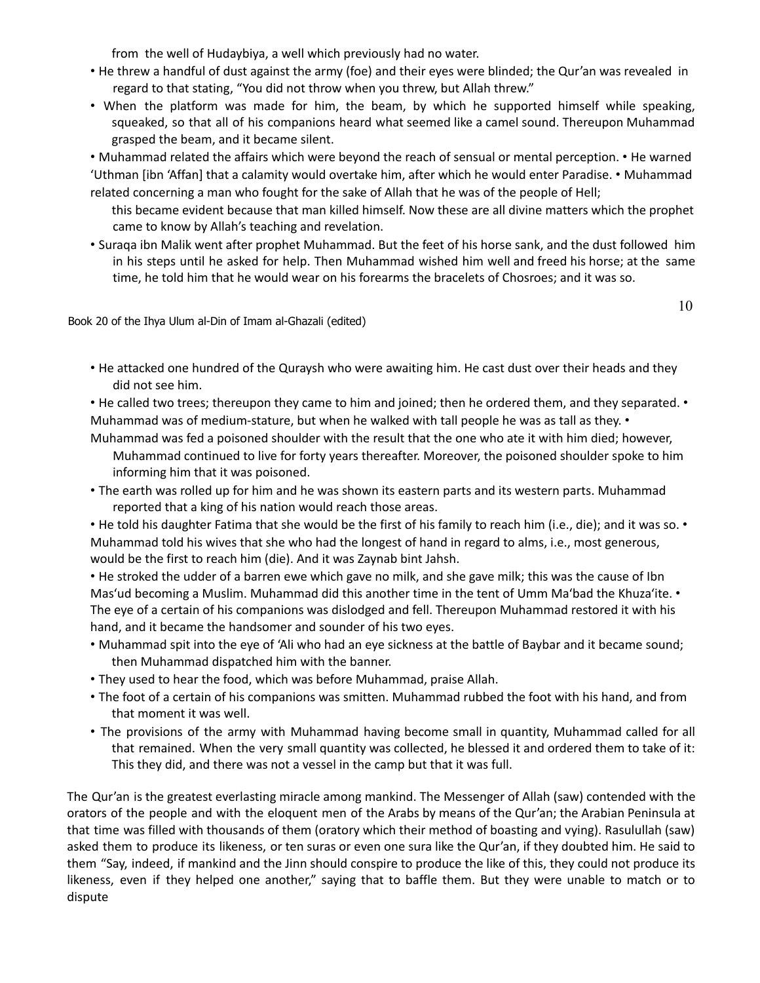from the well of Hudaybiya, a well which previously had no water.

- He threw a handful of dust against the army (foe) and their eyes were blinded; the Qur'an was revealed in regard to that stating, "You did not throw when you threw, but Allah threw."
- When the platform was made for him, the beam, by which he supported himself while speaking, squeaked, so that all of his companions heard what seemed like a camel sound. Thereupon Muhammad grasped the beam, and it became silent.

• Muhammad related the affairs which were beyond the reach of sensual or mental perception. • He warned 'Uthman [ibn 'Affan] that a calamity would overtake him, after which he would enter Paradise. • Muhammad related concerning a man who fought for the sake of Allah that he was of the people of Hell;

- this became evident because that man killed himself. Now these are all divine matters which the prophet came to know by Allah's teaching and revelation.
- Suraqa ibn Malik went after prophet Muhammad. But the feet of his horse sank, and the dust followed him in his steps until he asked for help. Then Muhammad wished him well and freed his horse; at the same time, he told him that he would wear on his forearms the bracelets of Chosroes; and it was so.

Book 20 of the Ihya Ulum al-Din of Imam al-Ghazali (edited)

10

- He attacked one hundred of the Quraysh who were awaiting him. He cast dust over their heads and they did not see him.
- He called two trees; thereupon they came to him and joined; then he ordered them, and they separated. Muhammad was of medium-stature, but when he walked with tall people he was as tall as they. •
- Muhammad was fed a poisoned shoulder with the result that the one who ate it with him died; however, Muhammad continued to live for forty years thereafter. Moreover, the poisoned shoulder spoke to him informing him that it was poisoned.
- The earth was rolled up for him and he was shown its eastern parts and its western parts. Muhammad reported that a king of his nation would reach those areas.
- He told his daughter Fatima that she would be the first of his family to reach him (i.e., die); and it was so. Muhammad told his wives that she who had the longest of hand in regard to alms, i.e., most generous, would be the first to reach him (die). And it was Zaynab bint Jahsh.

• He stroked the udder of a barren ewe which gave no milk, and she gave milk; this was the cause of Ibn Mas'ud becoming a Muslim. Muhammad did this another time in the tent of Umm Ma'bad the Khuza'ite. • The eye of a certain of his companions was dislodged and fell. Thereupon Muhammad restored it with his hand, and it became the handsomer and sounder of his two eyes.

- Muhammad spit into the eye of 'Ali who had an eye sickness at the battle of Baybar and it became sound; then Muhammad dispatched him with the banner.
- They used to hear the food, which was before Muhammad, praise Allah.
- The foot of a certain of his companions was smitten. Muhammad rubbed the foot with his hand, and from that moment it was well.
- The provisions of the army with Muhammad having become small in quantity, Muhammad called for all that remained. When the very small quantity was collected, he blessed it and ordered them to take of it: This they did, and there was not a vessel in the camp but that it was full.

The Qur'an is the greatest everlasting miracle among mankind. The Messenger of Allah (saw) contended with the orators of the people and with the eloquent men of the Arabs by means of the Qur'an; the Arabian Peninsula at that time was filled with thousands of them (oratory which their method of boasting and vying). Rasulullah (saw) asked them to produce its likeness, or ten suras or even one sura like the Qur'an, if they doubted him. He said to them "Say, indeed, if mankind and the Jinn should conspire to produce the like of this, they could not produce its likeness, even if they helped one another," saying that to baffle them. But they were unable to match or to dispute